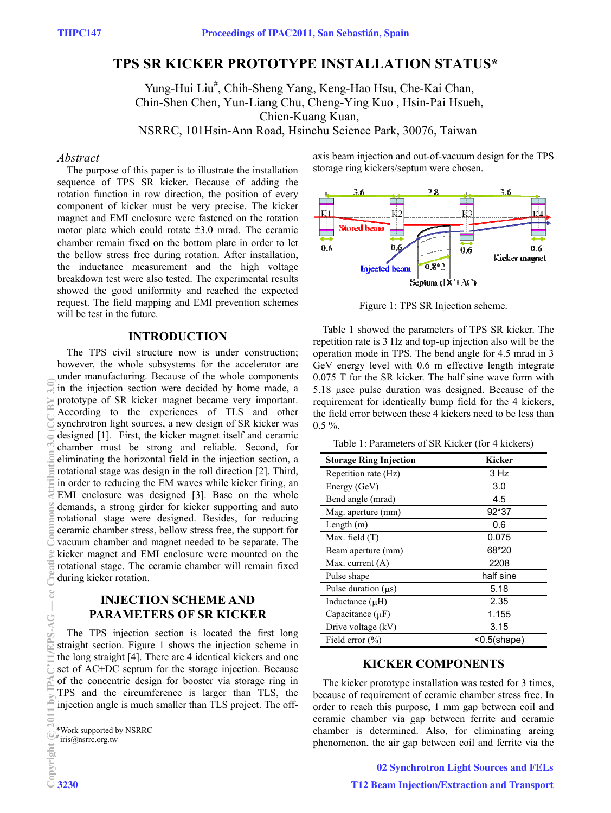## **TPS SR KICKER PROTOTYPE INSTALLATION STATUS\***

Yung-Hui Liu<sup>#</sup>, Chih-Sheng Yang, Keng-Hao Hsu, Che-Kai Chan, Chin-Shen Chen, Yun-Liang Chu, Cheng-Ying Kuo , Hsin-Pai Hsueh, Chien-Kuang Kuan, NSRRC, 101Hsin-Ann Road, Hsinchu Science Park, 30076, Taiwan

#### *Abstract*

The purpose of this paper is to illustrate the installation sequence of TPS SR kicker. Because of adding the rotation function in row direction, the position of every component of kicker must be very precise. The kicker magnet and EMI enclosure were fastened on the rotation motor plate which could rotate  $\pm 3.0$  mrad. The ceramic chamber remain fixed on the bottom plate in order to let the bellow stress free during rotation. After installation, the inductance measurement and the high voltage breakdown test were also tested. The experimental results showed the good uniformity and reached the expected request. The field mapping and EMI prevention schemes will be test in the future.

#### **INTRODUCTION**

The TPS civil structure now is under construction; however, the whole subsystems for the accelerator are under manufacturing. Because of the whole components in the injection section were decided by home made, a prototype of SR kicker magnet became very important. According to the experiences of TLS and other synchrotron light sources, a new design of SR kicker was designed [1]. First, the kicker magnet itself and ceramic chamber must be strong and reliable. Second, for eliminating the horizontal field in the injection section, a rotational stage was design in the roll direction [2]. Third, in order to reducing the EM waves while kicker firing, an EMI enclosure was designed [3]. Base on the whole demands, a strong girder for kicker supporting and auto rotational stage were designed. Besides, for reducing ceramic chamber stress, bellow stress free, the support for vacuum chamber and magnet needed to be separate. The kicker magnet and EMI enclosure were mounted on the rotational stage. The ceramic chamber will remain fixed during kicker rotation.

## **INJECTION SCHEME AND PARAMETERS OF SR KICKER**

The TPS injection section is located the first long straight section. Figure 1 shows the injection scheme in the long straight [4]. There are 4 identical kickers and one set of AC+DC septum for the storage injection. Because of the concentric design for booster via storage ring in TPS and the circumference is larger than TLS, the injection angle is much smaller than TLS project. The off-

 $*$  iris@nsrrc.org.tw

axis beam injection and out-of-vacuum design for the TPS storage ring kickers/septum were chosen.



Figure 1: TPS SR Injection scheme.

Table 1 showed the parameters of TPS SR kicker. The repetition rate is 3 Hz and top-up injection also will be the operation mode in TPS. The bend angle for 4.5 mrad in 3 GeV energy level with 0.6 m effective length integrate 0.075 T for the SR kicker. The half sine wave form with 5.18 usec pulse duration was designed. Because of the requirement for identically bump field for the 4 kickers, the field error between these 4 kickers need to be less than  $0.5 \%$ .

Table 1: Parameters of SR Kicker (for 4 kickers)

| <b>Storage Ring Injection</b> | <b>Kicker</b>  |
|-------------------------------|----------------|
| Repetition rate (Hz)          | 3 Hz           |
| Energy (GeV)                  | 3.0            |
| Bend angle (mrad)             | 4.5            |
| Mag. aperture (mm)            | 92*37          |
| Length $(m)$                  | 0.6            |
| Max. field $(T)$              | 0.075          |
| Beam aperture (mm)            | 68*20          |
| Max. current $(A)$            | 2208           |
| Pulse shape                   | half sine      |
| Pulse duration $( \mu s )$    | 5.18           |
| Inductance $(\mu H)$          | 2.35           |
| Capacitance $(\mu F)$         | 1.155          |
| Drive voltage (kV)            | 3.15           |
| Field error $(\% )$           | $<$ 0.5(shape) |

#### **KICKER COMPONENTS**

The kicker prototype installation was tested for 3 times, because of requirement of ceramic chamber stress free. In order to reach this purpose, 1 mm gap between coil and ceramic chamber via gap between ferrite and ceramic chamber is determined. Also, for eliminating arcing phenomenon, the air gap between coil and ferrite via the

\_\_\_\_\_\_\_\_\_\_\_\_\_\_\_\_\_\_\_\_\_\_\_\_\_\_\_\_\_\_\_\_\_\_\_\_\_\_\_\_\_\_\_\_\_\_\_\_\_\_\_\_\_ \*Work supported by NSRRC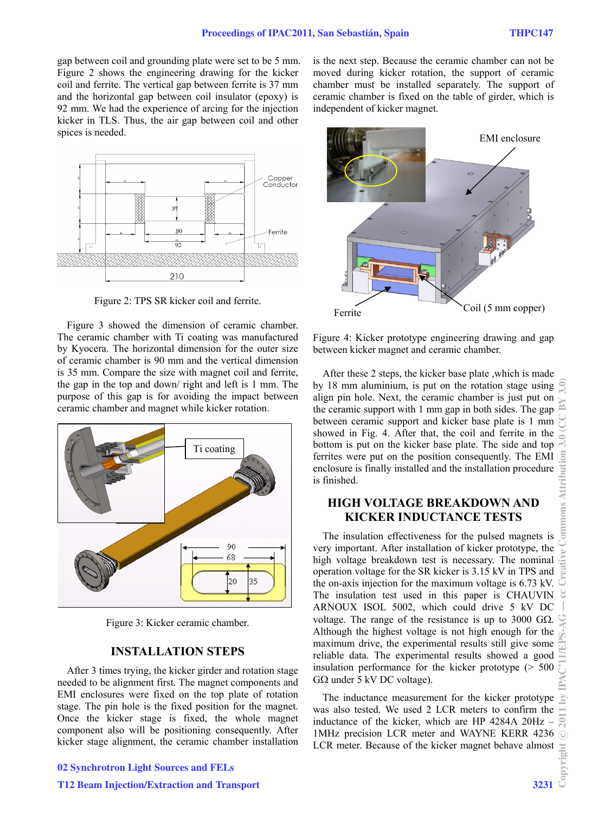gap between coil and grounding plate were set to be 5 mm. Figure 2 shows the engineering drawing for the kicker coil and ferrite. The vertical gap between ferrite is 37 mm and the horizontal gap between coil insulator (epoxy) is 92 mm. We had the experience of arcing for the injection kicker in TLS. Thus, the air gap between coil and other spices is needed.



Figure 2: TPS SR kicker coil and ferrite.

Figure 3 showed the dimension of ceramic chamber. The ceramic chamber with Ti coating was manufactured by Kyocera. The horizontal dimension for the outer size of ceramic chamber is 90 mm and the vertical dimension is 35 mm. Compare the size with magnet coil and ferrite, the gap in the top and down/ right and left is 1 mm. The purpose of this gap is for avoiding the impact between ceramic chamber and magnet while kicker rotation.



Figure 3: Kicker ceramic chamber.

#### **INSTALLATION STEPS**

After 3 times trying, the kicker girder and rotation stage needed to be alignment first. The magnet components and EMI enclosures were fixed on the top plate of rotation stage. The pin hole is the fixed position for the magnet. Once the kicker stage is fixed, the whole magnet component also will be positioning consequently. After kicker stage alignment, the ceramic chamber installation

# moved during kicker rotation, the support of ceramic chamber must be installed separately. The support of ceramic chamber is fixed on the table of girder, which is independent of kicker magnet. EMI enclosure

is the next step. Because the ceramic chamber can not be



Figure 4: Kicker prototype engineering drawing and gap between kicker magnet and ceramic chamber.

After these 2 steps, the kicker base plate ,which is made by 18 mm aluminium, is put on the rotation stage using align pin hole. Next, the ceramic chamber is just put on the ceramic support with 1 mm gap in both sides. The gap between ceramic support and kicker base plate is 1 mm showed in Fig. 4. After that, the coil and ferrite in the bottom is put on the kicker base plate. The side and top ferrites were put on the position consequently. The EMI enclosure is finally installed and the installation procedure is finished.

## **HIGH VOLTAGE BREAKDOWN AND KICKER INDUCTANCE TESTS**

The insulation effectiveness for the pulsed magnets is very important. After installation of kicker prototype, the high voltage breakdown test is necessary. The nominal operation voltage for the SR kicker is 3.15 kV in TPS and the on-axis injection for the maximum voltage is 6.73 kV. The insulation test used in this paper is CHAUVIN ARNOUX ISOL 5002, which could drive 5 kV DC voltage. The range of the resistance is up to 3000 G $\Omega$ . Although the highest voltage is not high enough for the maximum drive, the experimental results still give some reliable data. The experimental results showed a good insulation performance for the kicker prototype (> 500  $G\Omega$  under 5 kV DC voltage).

The inductance measurement for the kicker prototype was also tested. We used 2 LCR meters to confirm the inductance of the kicker, which are HP 4284A 20Hz – 1MHz precision LCR meter and WAYNE KERR 4236 LCR meter. Because of the kicker magnet behave almost

## 02 Synchrotron Light Sources and FELs

## T12 Beam Injection/Extraction and Transport 3231